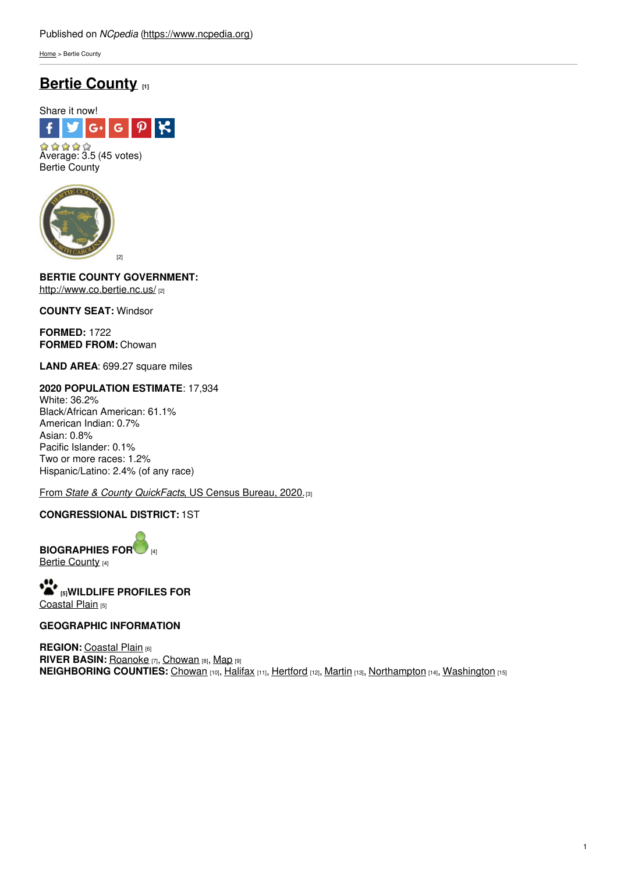[Home](https://www.ncpedia.org/) > Bertie County

# **Bertie [County](https://www.ncpedia.org/geography/bertie) [1]**



Bertie County



**BERTIE COUNTY GOVERNMENT[:](http://www.social9.com)** <http://www.co.bertie.nc.us/> [2]

**COUNTY SEAT:** Windsor

**FORMED:** 1722 **FORMED FROM:** Chowan

**LAND AREA**: 699.27 square miles

### **2020 POPULATION ESTIMATE**: 17,934 White: 36.2%

Black/African American: 61.1% American Indian: 0.7% Asian: 0.8% Pacific Islander: 0.1% Two or more races: 1.2% Hispanic/Latino: 2.4% (of any race)

From *State & County [QuickFacts](https://www.census.gov/quickfacts/fact/table/bertiecountynorthcarolina,US/POP010220)*, US Census Bureau, 2020.[3]

### **CONGRESSIONAL DISTRICT:** 1ST

**BIOGRAPHIES FO[R](https://www.ncpedia.org/geography/bertie-county/biography)** [4] Bertie [County](https://www.ncpedia.org/geography/bertie-county/biography) [4]

**[5]WILDLIFE PROFILES FOR** [Coastal](https://www.ncpedia.org/wildlife/coastal-plain) Plain [5]

### **GEOGRAPHIC INFORMATION**

**REGION: [Coastal](https://www.ncpedia.org/geography/region/coastal-plain) Plain [6] RIVER BASIN:** [Roanoke](https://files.nc.gov/deqee/documents/files/roanoke-river-basin.pdf) [7], [Chowan](https://files.nc.gov/deqee/documents/files/chowan-river-basin.pdf) [8], [Map](https://ncdenr.maps.arcgis.com/apps/PublicInformation/index.html?appid=f82f583438e74bf29adcc76247381eee) [9] **NEIGHBORING COUNTIES:** [Chowan](https://www.ncpedia.org/geography/chowan) [10], [Halifax](https://www.ncpedia.org/geography/halifax) [11], [Hertford](https://www.ncpedia.org/geography/hertford) [12], [Martin](https://www.ncpedia.org/geography/martin) [13], [Northampton](https://www.ncpedia.org/geography/northampton) [14], [Washington](https://www.ncpedia.org/geography/washington) [15]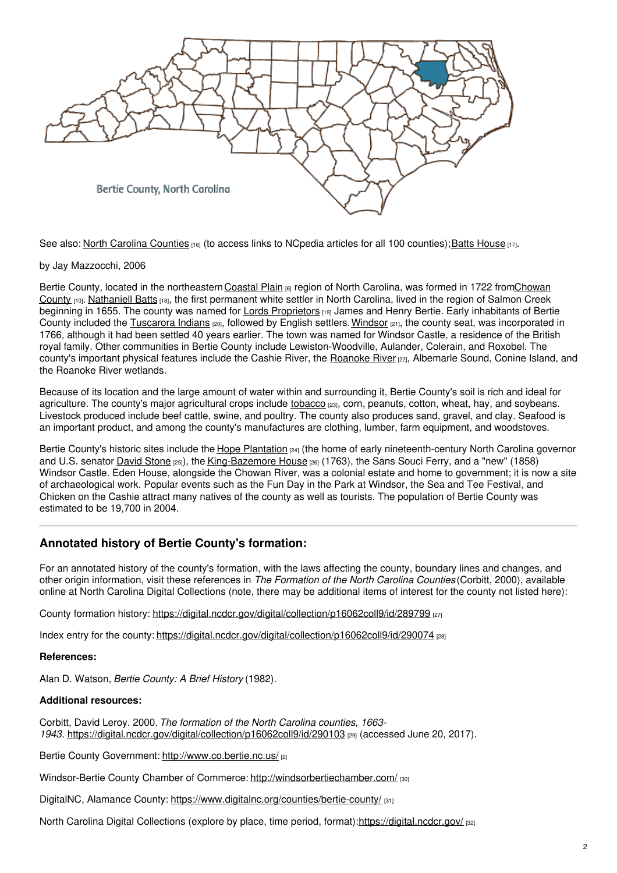

See also: North Carolina [Counties](https://www.ncpedia.org/node/156/) [16] (to access links to NCpedia articles for all 100 counties); Batts [House](https://www.ncpedia.org/batts-house) [17].

### by Jay Mazzocchi, 2006

Bertie County, located in the northeastern Coastal Plain [6] region of North Carolina, was formed in 1722 from Chowan County [10]. [Nathaniell](https://www.ncpedia.org/biography/batts-nathaniell) Batts [18], the first permanent white settler in North Carolina, lived in the region of Salmon Creek beginning in 1655. The county was named for Lords [Proprietors](https://www.ncpedia.org/lords-proprietors) [19] James and Henry Bertie. Early inhabitants of Bertie County included the [Tuscarora](https://www.ncpedia.org/american-indians/tuscarora) Indians (20), followed by English settlers. [Windsor](https://windsornc.com/) (21), the county seat, was incorporated in 1766, although it had been settled 40 years earlier. The town was named for Windsor Castle, a residence of the British royal family. Other communities in Bertie County include Lewiston-Woodville, Aulander, Colerain, and Roxobel. The county's important physical features include the Cashie River, the [Roanoke](https://www.ncpedia.org/rivers/roanoke) River [22], Albemarle Sound, Conine Island, and the Roanoke River wetlands.

Because of its location and the large amount of water within and surrounding it, Bertie County's soil is rich and ideal for agriculture. The county's major agricultural crops include [tobacco](https://www.ncpedia.org/tobacco) [23], corn, peanuts, cotton, wheat, hay, and soybeans. Livestock produced include beef cattle, swine, and poultry. The county also produces sand, gravel, and clay. Seafood is an important product, and among the county's manufactures are clothing, lumber, farm equipment, and woodstoves.

Bertie County's historic sites include the Hope [Plantation](https://www.hopeplantation.org/)  $p_4$  (the home of early nineteenth-century North Carolina governor and U.S. senator [David](https://www.ncpedia.org/stone-david) Stone [25]), the [King-Bazemore](https://d.lib.ncsu.edu/collections/catalog?f[work_facet][]=King-Bazemore+House) House [26] (1763), the Sans Souci Ferry, and a "new" (1858) Windsor Castle. Eden House, alongside the Chowan River, was a colonial estate and home to government; it is now a site of archaeological work. Popular events such as the Fun Day in the Park at Windsor, the Sea and Tee Festival, and Chicken on the Cashie attract many natives of the county as well as tourists. The population of Bertie County was estimated to be 19,700 in 2004.

## **Annotated history of Bertie County's formation:**

For an annotated history of the county's formation, with the laws affecting the county, boundary lines and changes, and other origin information, visit these references in *The Formation of the North Carolina Counties* (Corbitt, 2000), available online at North Carolina Digital Collections (note, there may be additional items of interest for the county not listed here):

County formation history: <https://digital.ncdcr.gov/digital/collection/p16062coll9/id/289799> [27]

Index entry for the county: <https://digital.ncdcr.gov/digital/collection/p16062coll9/id/290074> [28]

### **References:**

Alan D. Watson, *Bertie County: A Brief History* (1982).

### **Additional resources:**

Corbitt, David Leroy. 2000. *The formation of the North Carolina counties, 1663- 1943*. <https://digital.ncdcr.gov/digital/collection/p16062coll9/id/290103> [29] (accessed June 20, 2017).

Bertie County Government: <http://www.co.bertie.nc.us/> [2]

Windsor-Bertie County Chamber of Commerce: <http://windsorbertiechamber.com/> [30]

DigitalNC, Alamance County: <https://www.digitalnc.org/counties/bertie-county/> [31]

North Carolina Digital Collections (explore by place, time period, format):<https://digital.ncdcr.gov/> [32]